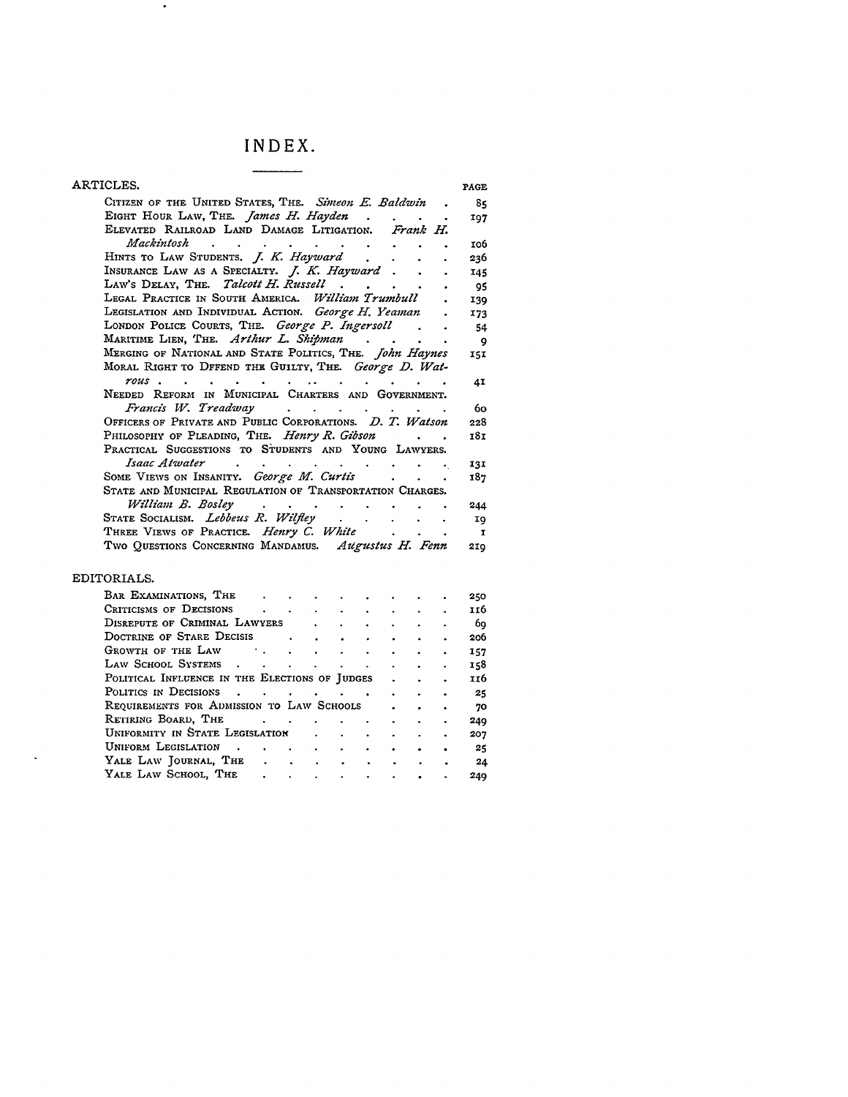## **INDEX.**

 $\sim$   $\sim$ 

| ARTICLES.                                                                                                                                                                                                                                                                                                                                                                                                                                                                       | PAGE         |
|---------------------------------------------------------------------------------------------------------------------------------------------------------------------------------------------------------------------------------------------------------------------------------------------------------------------------------------------------------------------------------------------------------------------------------------------------------------------------------|--------------|
| CITIZEN OF THE UNITED STATES, THE. Simeon E. Baldwin.                                                                                                                                                                                                                                                                                                                                                                                                                           | 85           |
|                                                                                                                                                                                                                                                                                                                                                                                                                                                                                 | 107          |
| EIGHT HOUR LAW, THE. <i>James H. Hayden</i><br>ELEVATED RAILROAD LAND DAMAGE LITIGATION. Frank H.                                                                                                                                                                                                                                                                                                                                                                               |              |
| Mackintosh<br>$\mathbf{r} = \mathbf{r} + \mathbf{r} + \mathbf{r} + \mathbf{r} + \mathbf{r} + \mathbf{r} + \mathbf{r}$                                                                                                                                                                                                                                                                                                                                                           | 106          |
| HINTS TO LAW STUDENTS. J. K. Hayward.                                                                                                                                                                                                                                                                                                                                                                                                                                           | 236          |
| INSURANCE LAW AS A SPECIALTY. <i>J. K. Hayward</i> .                                                                                                                                                                                                                                                                                                                                                                                                                            | 145          |
| LAW'S DELAY, THE. Talcott H. Russell                                                                                                                                                                                                                                                                                                                                                                                                                                            | 95           |
| LEGAL PRACTICE IN SOUTH AMERICA. William Trumbull                                                                                                                                                                                                                                                                                                                                                                                                                               | 139          |
| LEGISLATION AND INDIVIDUAL ACTION. George H. Yeaman                                                                                                                                                                                                                                                                                                                                                                                                                             | 173          |
| LONDON POLICE COURTS, THE. George P. Ingersoll                                                                                                                                                                                                                                                                                                                                                                                                                                  | 54           |
| MARITIME LIEN, THE. Arthur L. Shipman                                                                                                                                                                                                                                                                                                                                                                                                                                           | - 9          |
| MERGING OF NATIONAL AND STATE POLITICS, THE. <i>John Haynes</i>                                                                                                                                                                                                                                                                                                                                                                                                                 | 15I          |
| MORAL RIGHT TO DFFEND THE GUILTY, THE. George D. Wat-                                                                                                                                                                                                                                                                                                                                                                                                                           |              |
| rous.<br>$\mathbf{L}$<br>$\bullet$ . The contribution of the contribution of the contribution of the contribution of the contribution of the contribution of the contribution of the contribution of the contribution of the contribution of the contributi                                                                                                                                                                                                                     | 4I           |
| NEEDED REFORM IN MUNICIPAL CHARTERS AND GOVERNMENT.                                                                                                                                                                                                                                                                                                                                                                                                                             |              |
| Francis W. Treadway (Chapter Contains a contact of the contact of the contact of the contact of the contact of                                                                                                                                                                                                                                                                                                                                                                  | 60           |
| OFFICERS OF PRIVATE AND PUBLIC CORPORATIONS. D. T. Watson                                                                                                                                                                                                                                                                                                                                                                                                                       | 228          |
| PHILOSOPHY OF PLEADING, THE. Henry R. Gibson                                                                                                                                                                                                                                                                                                                                                                                                                                    | 181          |
| PRACTICAL SUGGESTIONS TO STUDENTS AND YOUNG LAWYERS.                                                                                                                                                                                                                                                                                                                                                                                                                            |              |
| Isaac Atwater<br>$\mathcal{A}^{\mathcal{A}}$ , and $\mathcal{A}^{\mathcal{A}}$ , and $\mathcal{A}^{\mathcal{A}}$ , and $\mathcal{A}^{\mathcal{A}}$                                                                                                                                                                                                                                                                                                                              | 131          |
| SOME VIEWS ON INSANITY. George M. Curtis .                                                                                                                                                                                                                                                                                                                                                                                                                                      | 187          |
| STATE AND MUNICIPAL REGULATION OF TRANSPORTATION CHARGES.                                                                                                                                                                                                                                                                                                                                                                                                                       |              |
| William B. Bosley (b) contains the contact of the contact of the contact of the contact of the contact of the contact of the contact of the contact of the contact of the contact of the contact of the contact of the contact                                                                                                                                                                                                                                                  | 244          |
| STATE SOCIALISM. Lebbeus R. Wilfley.<br>$\sim$<br>$\sim 10^{-10}$                                                                                                                                                                                                                                                                                                                                                                                                               | I9           |
| THREE VIEWS OF PRACTICE. Henry C. White .<br>$\mathbf{r} = \mathbf{r}$                                                                                                                                                                                                                                                                                                                                                                                                          | $\mathbf{I}$ |
| Two QUESTIONS CONCERNING MANDAMUS. Augustus H. Fenn                                                                                                                                                                                                                                                                                                                                                                                                                             | 210          |
| EDITORIALS.                                                                                                                                                                                                                                                                                                                                                                                                                                                                     |              |
|                                                                                                                                                                                                                                                                                                                                                                                                                                                                                 |              |
| BAR EXAMINATIONS, THE<br>$\mathbf{L}^{\text{max}}$                                                                                                                                                                                                                                                                                                                                                                                                                              | 250<br>116   |
| CRITICISMS OF DECISIONS<br>DISREPUTE OF CRIMINAL LAWYERS<br>$\ddot{\phantom{0}}$                                                                                                                                                                                                                                                                                                                                                                                                | 69           |
| DOCTRINE OF STARE DECISIS .<br>$\sim$ $\sim$<br>$\ddot{\phantom{0}}$<br>$\ddot{\phantom{0}}$                                                                                                                                                                                                                                                                                                                                                                                    | 206          |
| GROWTH OF THE LAW .<br>$\sim$<br>$\sim$<br>$\sim$                                                                                                                                                                                                                                                                                                                                                                                                                               | 157          |
| Law School Systems<br>$\mathbf{r}^{\prime}=\mathbf{r}^{\prime}+\mathbf{r}^{\prime}+\mathbf{r}^{\prime}+\mathbf{r}^{\prime}+\mathbf{r}^{\prime}+\mathbf{r}^{\prime}+\mathbf{r}^{\prime}+\mathbf{r}^{\prime}+\mathbf{r}^{\prime}+\mathbf{r}^{\prime}+\mathbf{r}^{\prime}+\mathbf{r}^{\prime}+\mathbf{r}^{\prime}+\mathbf{r}^{\prime}+\mathbf{r}^{\prime}+\mathbf{r}^{\prime}+\mathbf{r}^{\prime}+\mathbf{r}^{\prime}+\mathbf{r}^{\prime}+\mathbf{r}^{\prime}+\mathbf{r}^{\prime}$ | 158          |
| POLITICAL INFLUENCE IN THE ELECTIONS OF JUDGES .                                                                                                                                                                                                                                                                                                                                                                                                                                | 116          |
| POLITICS IN DECISIONS                                                                                                                                                                                                                                                                                                                                                                                                                                                           | 25           |
| REQUIREMENTS FOR ADMISSION TO LAW SCHOOLS                                                                                                                                                                                                                                                                                                                                                                                                                                       | 70           |
| RETIRING BOARD, THE<br>$\bullet$ .                                                                                                                                                                                                                                                                                                                                                                                                                                              | 249          |
| UNIFORMITY IN STATE LEGISLATION<br>$\sim 10^{-1}$<br>$\bullet$ .                                                                                                                                                                                                                                                                                                                                                                                                                | 207          |
| UNIFORM LEGISLATION<br>$\sim 10^{-11}$<br>$\mathbf{z}$ .<br>$\bullet$                                                                                                                                                                                                                                                                                                                                                                                                           | 25           |
| VALE LAW JOURNAL, THE<br>$\mathbf{L}^{\text{max}}$                                                                                                                                                                                                                                                                                                                                                                                                                              | 24           |
| YALE LAW SCHOOL, THE                                                                                                                                                                                                                                                                                                                                                                                                                                                            | 249          |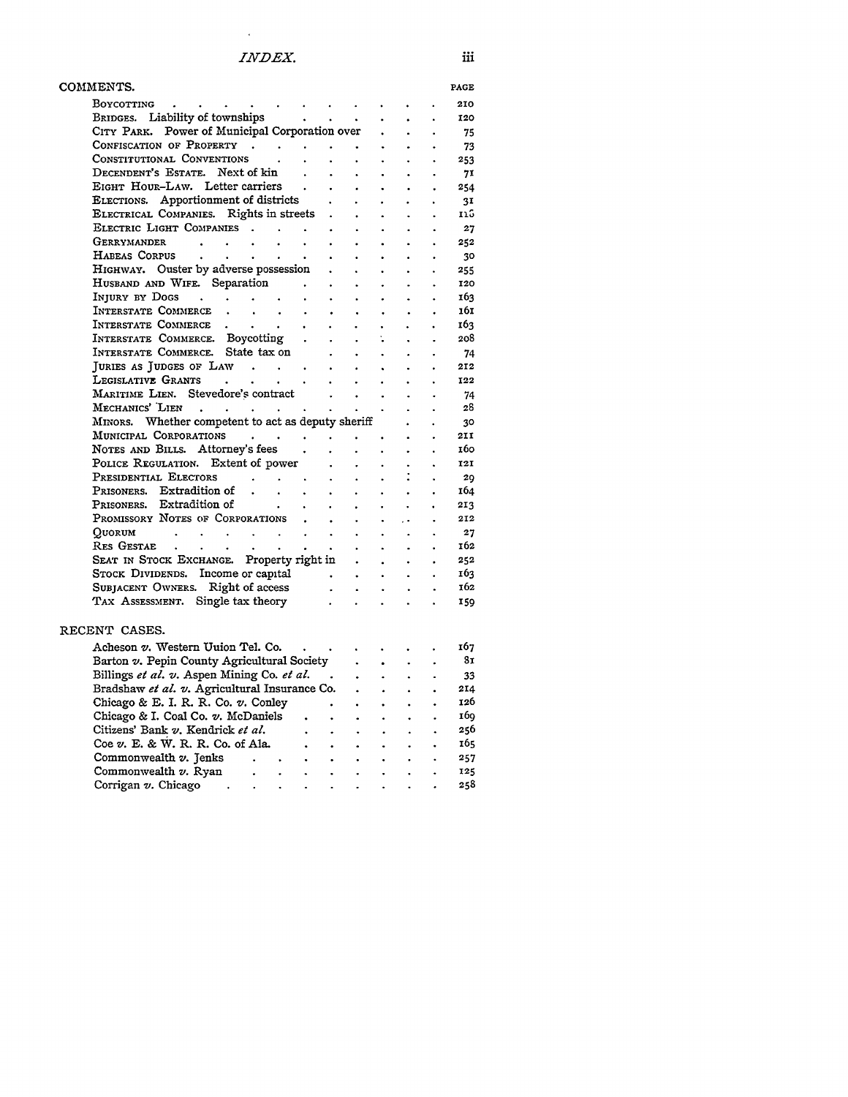$\epsilon$ 

| COMMENTS.                                                                                                                                                                                                                            |                                   |                      |                      | PAGE                    |
|--------------------------------------------------------------------------------------------------------------------------------------------------------------------------------------------------------------------------------------|-----------------------------------|----------------------|----------------------|-------------------------|
|                                                                                                                                                                                                                                      |                                   |                      |                      | 210                     |
| Boycorring<br>BRIDGES. Liability of townships                                                                                                                                                                                        |                                   | $\bullet$            | $\ddot{\phantom{0}}$ | 120                     |
| CITY PARK. Power of Municipal Corporation over                                                                                                                                                                                       |                                   |                      |                      | 75                      |
|                                                                                                                                                                                                                                      |                                   |                      |                      | 73                      |
| CONFISCATION OF PROPERTY<br>CONSTITUTIONAL CONVENTIONS                                                                                                                                                                               | $\ddot{\phantom{a}}$              |                      | $\mathbf{r}$         | - 253                   |
| DECENDENT'S ESTATE. Next of kin<br>$\sim$<br>$\bullet$<br>$\sim$                                                                                                                                                                     | $\bullet$                         |                      | $\ddot{\phantom{0}}$ | 71                      |
| EIGHT HOUR-LAW. Letter carriers .<br>$\bullet$ .                                                                                                                                                                                     | $\ddot{\phantom{0}}$              | $\bullet$            | $\ddot{\phantom{0}}$ | 254                     |
| ELECTIONS. Apportionment of districts<br>$\ddot{\phantom{0}}$<br>$\bullet$                                                                                                                                                           | $\bullet$ .                       |                      | $\bullet$            | 3I                      |
| ELECTRICAL COMPANIES. Rights in streets .<br>$\sim$                                                                                                                                                                                  | $\bullet$                         | $\bullet$            | $\ddot{\phantom{0}}$ |                         |
| ELECTRIC LIGHT COMPANIES<br>$\bullet$ .                                                                                                                                                                                              |                                   |                      |                      | 27                      |
| $\mathbf{L}^{\text{max}}$<br>$\bullet$ .                                                                                                                                                                                             |                                   |                      |                      | 252                     |
| GERRYMANDER<br>Habeas Corpus<br>$\ddot{\phantom{0}}$                                                                                                                                                                                 | $\bullet$<br>$\ddot{\phantom{0}}$ | $\bullet$            | $\ddot{\phantom{0}}$ | - 30                    |
| HIGHWAY. Ouster by adverse possession.                                                                                                                                                                                               |                                   |                      |                      |                         |
| $\bullet$ .<br>HUSBAND AND WIFE. Separation .                                                                                                                                                                                        | $\bullet$                         | $\bullet$ .          | $\ddot{\phantom{0}}$ | 255                     |
| $\bullet$ .<br>$\bullet$ .                                                                                                                                                                                                           | $\ddot{\phantom{0}}$              |                      | $\ddot{\phantom{0}}$ | 120                     |
| INJURY BY DOGS<br>$\sim$<br>$\bullet$ .<br>$\bullet$ .                                                                                                                                                                               | $\ddot{\phantom{0}}$              | $\ddot{\bullet}$     |                      | 163                     |
| INTERSTATE COMMERCE.<br>$\sim 10^{-1}$<br>$\sim$<br>$\sim$<br>$\mathcal{L}_{\mathcal{A}}$<br>$\bullet$ .                                                                                                                             | $\bullet$                         | $\bullet$            | $\bullet$            | 161                     |
| INTERSTATE COMMERCE<br>$\bullet$ .                                                                                                                                                                                                   | $\bullet$                         |                      | ÷.                   | 163                     |
| $\mathbf{L}^{(1)}$                                                                                                                                                                                                                   |                                   | $\mathbf{L}^{(1)}$   | $\ddot{\phantom{0}}$ | 208                     |
| INTERSTATE COMMERCE. State tax on<br>INTERSTATE COMMERCE. State tax on .<br>JURIES AS JUDGES OF LAW                                                                                                                                  | $\bullet$                         |                      |                      | 74                      |
| $\sim$ $\sim$                                                                                                                                                                                                                        | $\sim$                            |                      | $\ddot{\phantom{0}}$ | 212                     |
| LEGISLATIVE GRANTS<br>MARITIME LIEN. Stevedore's contract<br>MECHANICS' LIEN.<br>MINOPS Whather committed to all and the contract of the contract of the contract of the contract of the contract of the contract of the contract of |                                   |                      |                      | 122                     |
|                                                                                                                                                                                                                                      |                                   | $\ddot{\bullet}$     | ٠                    | - 74                    |
|                                                                                                                                                                                                                                      |                                   |                      |                      | 28                      |
| MINORS. Whether competent to act as deputy sheriff                                                                                                                                                                                   |                                   |                      |                      | - 30                    |
| MUNICIPAL CORPORATIONS<br>$\sim$                                                                                                                                                                                                     | $\bullet$                         | $\ddot{\phantom{0}}$ | $\bullet$            | 211                     |
| NOTES AND BILLS. Attorney's fees<br>$\mathbf{L}$                                                                                                                                                                                     | $\ddot{\phantom{0}}$              | $\ddot{\phantom{0}}$ |                      | 160                     |
| POLICE REGULATION. Extent of power<br>$\sim$ $\sim$<br>$\mathbf{r}$                                                                                                                                                                  | $\bullet$ .                       |                      | $\bullet$ .          | 121                     |
| PRESIDENTIAL ELECTORS                                                                                                                                                                                                                |                                   | $\bullet$            |                      | 29                      |
| PRISONERS. Extradition of .<br>$\sim 10^{-11}$                                                                                                                                                                                       |                                   |                      |                      | 164                     |
| $\bullet$ .<br>$\bullet$<br>$\bullet$ .<br>PRISONERS. Extradition of                                                                                                                                                                 | $\bullet$ .                       | $\bullet$ .          | $\ddot{\phantom{0}}$ |                         |
| $\sim$<br>$\sim$<br>$\ddot{\phantom{0}}$<br>PROMISSORY NOTES OF CORPORATIONS.                                                                                                                                                        | $\ddot{\phantom{0}}$              | $\ddot{\phantom{0}}$ |                      | 213                     |
| $\sim$<br>$\ddot{\phantom{0}}$                                                                                                                                                                                                       | $\bullet$                         | $\sim$               | $\bullet$            | 212                     |
| $\mathcal{L}^{\mathcal{A}}$ , where $\mathcal{L}^{\mathcal{A}}$ , and $\mathcal{L}^{\mathcal{A}}$ , and $\mathcal{L}^{\mathcal{A}}$ , and $\mathcal{L}^{\mathcal{A}}$<br>OUORUM<br>$\sim 10^{-11}$<br>$\sim 10^{-11}$                | $\bullet$                         | $\sim$               | $\ddot{\phantom{0}}$ | 27                      |
|                                                                                                                                                                                                                                      | $\bullet$ .                       | $\bullet$            |                      | 162                     |
|                                                                                                                                                                                                                                      | $\sim$ $\sim$                     | $\ddot{\phantom{0}}$ | $\bullet$            | 252                     |
|                                                                                                                                                                                                                                      |                                   |                      |                      | 163                     |
| SEAT IN STUCK DRAGGANGE -----<br>STOCK DIVIDENDS. Income or capital<br>Constraining Owners. Right of access<br>SUBJACENT OWNERS. Right of access<br>TAX ASSESSMENT. Single tax theory                                                |                                   | $\bullet$ .          | $\ddot{\phantom{0}}$ | 162                     |
| $\bullet$ .<br>$\sim$                                                                                                                                                                                                                |                                   |                      |                      | <b>159</b>              |
|                                                                                                                                                                                                                                      |                                   |                      |                      |                         |
| RECENT CASES.                                                                                                                                                                                                                        |                                   |                      |                      |                         |
| Acheson $v$ . Western Uuion Tel. Co. $\qquad \qquad$ .                                                                                                                                                                               |                                   |                      |                      | 167                     |
| $\bullet$ , $\bullet$ , $\bullet$ , $\bullet$<br>Barton v. Pepin County Agricultural Society                                                                                                                                         |                                   |                      |                      | - 81                    |
|                                                                                                                                                                                                                                      | $\bullet$                         |                      |                      |                         |
| Billings et al. v. Aspen Mining Co. et al.<br>Bradshaw et al. v. Agricultural Insurance Co.<br>$\ddot{\phantom{0}}$                                                                                                                  | $\sim$ $\sim$                     | $\bullet$            |                      | - 33                    |
| $\ddot{\phantom{0}}$                                                                                                                                                                                                                 |                                   |                      |                      | 214                     |
| Chicago & E. I. R. R. Co. $v$ . Conley<br>Chicago & I. Coal Co. $v$ . McDaniels                                                                                                                                                      |                                   |                      |                      | 126                     |
| $\ddot{\phantom{0}}$<br>$\ddot{\phantom{a}}$                                                                                                                                                                                         |                                   |                      |                      | 160                     |
| Citizens' Bank v. Kendrick et al.<br>Coe v. E. & W. R. R. Co. of Ala.<br>$\bullet$<br>$\bullet$<br>$\bullet$                                                                                                                         | $\bullet$                         | $\ddot{\phantom{0}}$ | $\bullet$            | -256                    |
| $\ddot{\bullet}$<br>$\bullet$<br>$\bullet$                                                                                                                                                                                           | $\bullet$                         |                      | $\bullet$            | 165                     |
| $Common wealth v. Jenks$ .<br>$\bullet$ .<br>$\bullet$ .                                                                                                                                                                             | $\bullet$ .                       | $\cdot$              | $\ddot{\phantom{a}}$ | 257                     |
| Commonwealth v. Ryan<br>$\sim$<br>$\sim 10^{-11}$<br>$\bullet$                                                                                                                                                                       | $\bullet$ .                       | $\bullet$            |                      | .<br>. $125$<br>. $258$ |
| $\begin{array}{c} \begin{array}{c} \bullet \\ \bullet \\ \bullet \end{array} & \begin{array}{c} \bullet \\ \bullet \\ \bullet \end{array} \end{array}$<br>Corrigan v. Chicago.<br>$\sim$                                             |                                   |                      |                      |                         |